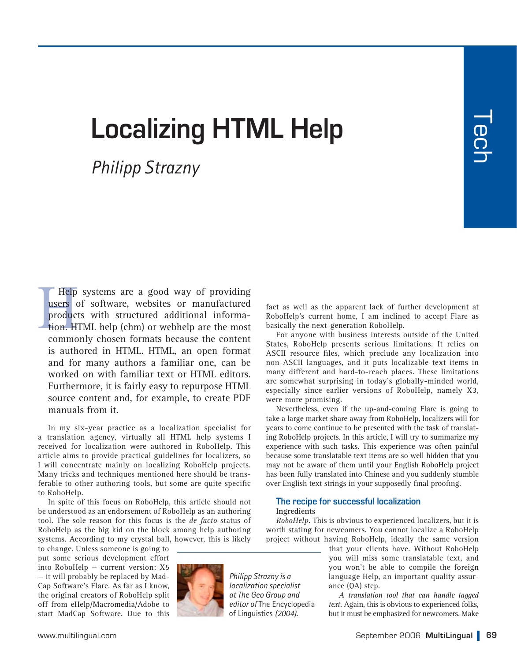ー<br>CD

# **Localizing HTML Help**

## *Philipp Strazny*

Help systems are a good way of providing<br>users of software, websites or manufactured<br>products with structured additional informa-<br>tion. HTML help (chm) or webhelp are the most<br>commonly chosen formats because the content<br>fo Help systems are a good way of providing users of software, websites or manufactured products with structured additional information. HTML help (chm) or webhelp are the most commonly chosen formats because the content is authored in HTML. HTML, an open format and for many authors a familiar one, can be worked on with familiar text or HTML editors. Furthermore, it is fairly easy to repurpose HTML source content and, for example, to create PDF manuals from it.

In my six-year practice as a localization specialist for a translation agency, virtually all HTML help systems I received for localization were authored in RoboHelp. This article aims to provide practical guidelines for localizers, so I will concentrate mainly on localizing RoboHelp projects. Many tricks and techniques mentioned here should be transferable to other authoring tools, but some are quite specific to RoboHelp.

In spite of this focus on RoboHelp, this article should not be understood as an endorsement of RoboHelp as an authoring tool. The sole reason for this focus is the *de facto* status of RoboHelp as the big kid on the block among help authoring systems. According to my crystal ball, however, this is likely

to change. Unless someone is going to put some serious development effort into RoboHelp — current version: X5 — it will probably be replaced by Mad-Cap Software's Flare. As far as I know, the original creators of RoboHelp split off from eHelp/Macromedia/Adobe to start MadCap Software. Due to this



*Philipp Strazny is a localization specialist at The Geo Group and editor of* The Encyclopedia of Linguistics *(2004).*

RoboHelp's current home, I am inclined to accept Flare as basically the next-generation RoboHelp.

For anyone with business interests outside of the United States, RoboHelp presents serious limitations. It relies on ASCII resource files, which preclude any localization into non-ASCII languages, and it puts localizable text items in many different and hard-to-reach places. These limitations are somewhat surprising in today's globally-minded world, especially since earlier versions of RoboHelp, namely X3, were more promising.

Nevertheless, even if the up-and-coming Flare is going to take a large market share away from RoboHelp, localizers will for years to come continue to be presented with the task of translating RoboHelp projects. In this article, I will try to summarize my experience with such tasks. This experience was often painful because some translatable text items are so well hidden that you may not be aware of them until your English RoboHelp project has been fully translated into Chinese and you suddenly stumble over English text strings in your supposedly final proofing.

#### **The recipe for successful localization Ingredients**

*RoboHelp.* This is obvious to experienced localizers, but it is worth stating for newcomers. You cannot localize a RoboHelp project without having RoboHelp, ideally the same version

that your clients have. Without RoboHelp you will miss some translatable text, and you won't be able to compile the foreign language Help, an important quality assurance (QA) step.

*A translation tool that can handle tagged text.* Again, this is obvious to experienced folks, but it must be emphasized for newcomers. Make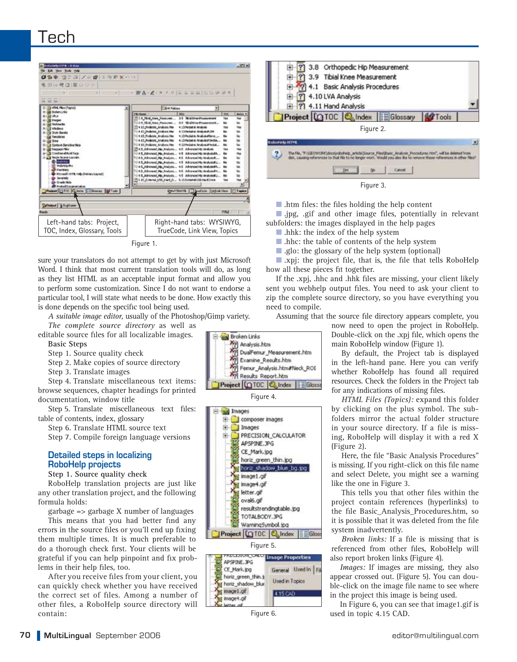

sure your translators do not attempt to get by with just Microsoft Word. I think that most current translation tools will do, as long as they list HTML as an acceptable input format and allow you to perform some customization. Since I do not want to endorse a particular tool, I will state what needs to be done. How exactly this is done depends on the specific tool being used.

*A suitable image editor,* usually of the Photoshop/Gimp variety. *The complete source directory* as well as

editable source files for all localizable images. **Basic Steps**

Step 1. Source quality check

Step 2. Make copies of source directory

Step 3. Translate images

Step 4. Translate miscellaneous text items: browse sequences, chapter headings for printed documentation, window title

Step 5. Translate miscellaneous text files: table of contents, index, glossary

Step 6. Translate HTML source text

Step 7. Compile foreign language versions

### **Detailed steps in localizing RoboHelp projects**

**Step 1. Source quality check**

RoboHelp translation projects are just like any other translation project, and the following formula holds:

garbage => garbage X number of languages This means that you had better find any errors in the source files or you'll end up fixing them multiple times. It is much preferable to do a thorough check first. Your clients will be grateful if you can help pinpoint and fix problems in their help files, too.

After you receive files from your client, you can quickly check whether you have received the correct set of files. Among a number of other files, a RoboHelp source directory will contain:



Figure 3.

■ .htm files: the files holding the help content

■ .jpg, .gif and other image files, potentially in relevant subfolders: the images displayed in the help pages

- .hhk: the index of the help system
- .hhc: the table of contents of the help system
- .glo: the glossary of the help system (optional)

■ xpj: the project file, that is, the file that tells RoboHelp how all these pieces fit together.

If the .xpj, .hhc and .hhk files are missing, your client likely sent you webhelp output files. You need to ask your client to zip the complete source directory, so you have everything you need to compile.

Assuming that the source file directory appears complete, you

now need to open the project in RoboHelp. Double-click on the .xpj file, which opens the main RoboHelp window (Figure 1).

By default, the Project tab is displayed in the left-hand pane. Here you can verify whether RoboHelp has found all required resources. Check the folders in the Project tab for any indications of missing files.

*HTML Files (Topics):* expand this folder by clicking on the plus symbol. The subfolders mirror the actual folder structure in your source directory. If a file is missing, RoboHelp will display it with a red X (Figure 2).

Here, the file "Basic Analysis Procedures" is missing. If you right-click on this file name and select Delete, you might see a warning like the one in Figure 3.

This tells you that other files within the project contain references (hyperlinks) to the file Basic\_Analysis\_Procedures.htm, so it is possible that it was deleted from the file system inadvertently.

*Broken links:* If a file is missing that is referenced from other files, RoboHelp will also report broken links (Figure 4).

*Images:* If images are missing, they also appear crossed out. (Figure 5). You can double-click on the image file name to see where in the project this image is being used.

In Figure 6, you can see that image1.gif is used in topic 4.15 CAD.



Figure 4.

PRECISION\_CALCULATOR

composer images

APSPINE.JPG CE\_Mark.jpg horiz\_green\_thin.jpg horiz shadow blue bg.jpg

Images

Pl Results Report.htm Project 10TOC & Index EGloss

DualFemur\_Measurement.htm Examine\_Results.htm

Femur\_Analysis.htm#Neck\_ROI

**Broken Links** 

Analysis.htm

**GON** 

31-31-

桐

Images

田

由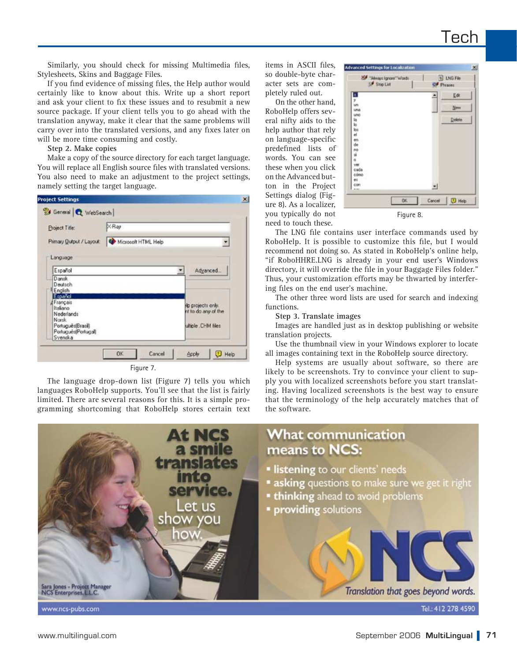Similarly, you should check for missing Multimedia files, Stylesheets, Skins and Baggage Files.

If you find evidence of missing files, the Help author would certainly like to know about this. Write up a short report and ask your client to fix these issues and to resubmit a new source package. If your client tells you to go ahead with the translation anyway, make it clear that the same problems will carry over into the translated versions, and any fixes later on will be more time consuming and costly.

**Step 2. Make copies**

Make a copy of the source directory for each target language. You will replace all English source files with translated versions. You also need to make an adjustment to the project settings, namely setting the target language.



Figure 7.

The language drop-down list (Figure 7) tells you which languages RoboHelp supports. You'll see that the list is fairly limited. There are several reasons for this. It is a simple programming shortcoming that RoboHelp stores certain text items in ASCII files, so double-byte character sets are completely ruled out.

On the other hand, RoboHelp offers several nifty aids to the help author that rely on language-specific predefined lists of words. You can see these when you click on the Advanced button in the Project Settings dialog (Figure 8). As a localizer, you typically do not need to touch these.

| 25 "Always Ignors" Words |            | <b>11</b> LNG File |               |
|--------------------------|------------|--------------------|---------------|
| Stop List                | Of Phrases |                    |               |
| a.                       |            |                    | Edt           |
| y.<br>un                 |            |                    |               |
| una                      |            |                    | New           |
| uno                      |            |                    |               |
| la.                      |            |                    | <b>Delete</b> |
| ы                        |            |                    |               |
| los -                    |            |                    |               |
| el.                      |            |                    |               |
| en<br>de                 |            |                    |               |
| 'nà                      |            |                    |               |
| ú                        |            |                    |               |
| ö                        |            |                    |               |
| ver                      |            |                    |               |
| cada                     |            |                    |               |
| cómo                     |            |                    |               |
| 60                       |            |                    |               |
| con                      |            | ᅬ                  |               |
| --                       |            |                    |               |
|                          | OK:        | Cancel             | I D Help      |

The LNG file contains user interface commands used by RoboHelp. It is possible to customize this file, but I would recommend not doing so. As stated in RoboHelp's online help, "if RoboHHRE.LNG is already in your end user's Windows directory, it will override the file in your Baggage Files folder." Thus, your customization efforts may be thwarted by interfer-

ing files on the end user's machine. The other three word lists are used for search and indexing functions.

**Step 3. Translate images**

Images are handled just as in desktop publishing or website translation projects.

Use the thumbnail view in your Windows explorer to locate all images containing text in the RoboHelp source directory.

Help systems are usually about software, so there are likely to be screenshots. Try to convince your client to supply you with localized screenshots before you start translating. Having localized screenshots is the best way to ensure that the terminology of the help accurately matches that of the software.

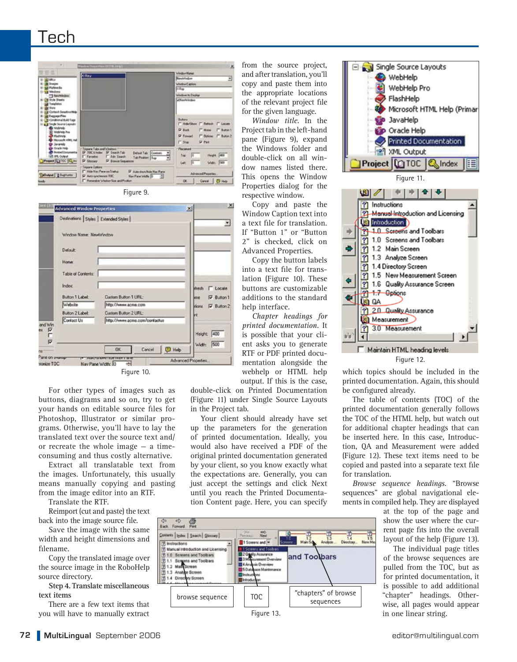## Tech





|                               |                           | Destinations Styles   Extended Styles |                          |
|-------------------------------|---------------------------|---------------------------------------|--------------------------|
|                               | Window Name: NewWindow    |                                       |                          |
|                               | Default:                  |                                       |                          |
|                               | <b>Home</b>               |                                       |                          |
|                               | <b>Table of Contents:</b> |                                       |                          |
|                               | Index                     |                                       | desh<br><b>Locale</b>    |
|                               | <b>Button 1 Label:</b>    | Custom Button 1 URL:                  | <b>V</b> Button 1<br>tte |
|                               | Website                   | http://www.acme.com                   | dions.<br>IV Button 2    |
|                               | <b>Button 2 Label:</b>    | Custom Button 2 URL:                  |                          |
|                               | Contact Us                | http://www.acme.com/contactus         |                          |
|                               |                           |                                       | Height: 400              |
|                               |                           |                                       |                          |
|                               |                           | <b>D</b> Help<br>Cancel<br>0K         | 500<br>Width             |
| Pane on yearoop<br>yonize TOC |                           | Nav Pane Widty<br>ь                   | Advanced Properties      |

For other types of images such as buttons, diagrams and so on, try to get your hands on editable source files for Photoshop, Illustrator or similar programs. Otherwise, you'll have to lay the translated text over the source text and/ or recreate the whole image — a timeconsuming and thus costly alternative.

Extract all translatable text from the images. Unfortunately, this usually means manually copying and pasting from the image editor into an RTF.

Translate the RTF.

Reimport (cut and paste) the text back into the image source file.

Save the image with the same width and height dimensions and filename.

Copy the translated image over the source image in the RoboHelp source directory.

**Step 4. Translate miscellaneous text items** 

There are a few text items that you will have to manually extract If "Button 1" or "Button 2" is checked, click on Advanced Properties.

Copy the button labels into a text file for translation (Figure 10). These buttons are customizable additions to the standard help interface.

Copy and paste the Window Caption text into a text file for translation.

from the source project, and after translation, you'll copy and paste them into the appropriate locations of the relevant project file for the given language. *Window title.* In the Project tab in the left-hand pane (Figure 9), expand the Windows folder and double-click on all window names listed there. This opens the Window Properties dialog for the respective window.

*Chapter headings for printed documentation.* It is possible that your client asks you to generate RTF or PDF printed documentation alongside the webhelp or HTML help output. If this is the case,

double-click on Printed Documentation (Figure 11) under Single Source Layouts in the Project tab.

Your client should already have set up the parameters for the generation of printed documentation. Ideally, you would also have received a PDF of the original printed documentation generated by your client, so you know exactly what the expectations are. Generally, you can just accept the settings and click Next until you reach the Printed Documentation Content page. Here, you can specify



Figure 12.

which topics should be included in the printed documentation. Again, this should be configured already.

The table of contents (TOC) of the printed documentation generally follows the TOC of the HTML help, but watch out for additional chapter headings that can be inserted here. In this case, Introduction, QA and Measurement were added (Figure 12). These text items need to be copied and pasted into a separate text file for translation.

*Browse sequence headings.* "Browse sequences" are global navigational elements in compiled help. They are displayed

> at the top of the page and show the user where the current page fits into the overall layout of the help (Figure 13).

The individual page titles of the browse sequences are pulled from the TOC, but as for printed documentation, it is possible to add additional "chapter" headings. Otherwise, all pages would appear in one linear string.

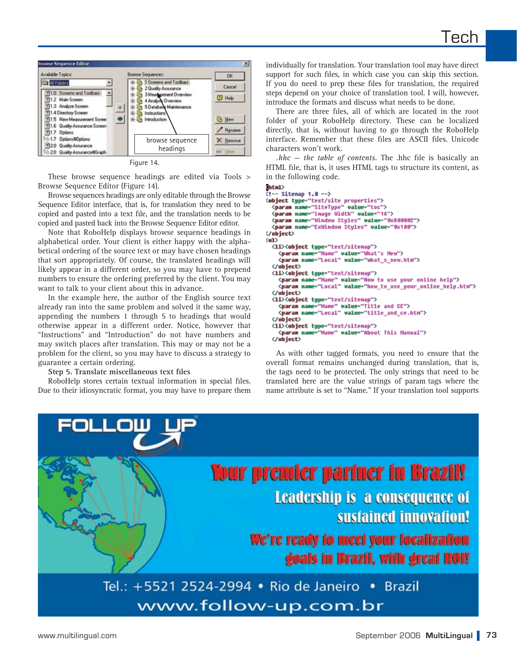

Figure 14.

These browse sequence headings are edited via Tools > Browse Sequence Editor (Figure 14).

Browse sequences headings are only editable through the Browse Sequence Editor interface, that is, for translation they need to be copied and pasted into a text file, and the translation needs to be copied and pasted back into the Browse Sequence Editor editor.

Note that RoboHelp displays browse sequence headings in alphabetical order. Your client is either happy with the alphabetical ordering of the source text or may have chosen headings that sort appropriately. Of course, the translated headings will likely appear in a different order, so you may have to prepend numbers to ensure the ordering preferred by the client. You may want to talk to your client about this in advance.

In the example here, the author of the English source text already ran into the same problem and solved it the same way, appending the numbers 1 through 5 to headings that would otherwise appear in a different order. Notice, however that "Instructions" and "Introduction" do not have numbers and may switch places after translation. This may or may not be a problem for the client, so you may have to discuss a strategy to guarantee a certain ordering.

**Step 5. Translate miscellaneous text files** 

RoboHelp stores certain textual information in special files. Due to their idiosyncratic format, you may have to prepare them individually for translation. Your translation tool may have direct support for such files, in which case you can skip this section. If you do need to prep these files for translation, the required steps depend on your choice of translation tool. I will, however, introduce the formats and discuss what needs to be done.

There are three files, all of which are located in the root folder of your RoboHelp directory. These can be localized directly, that is, without having to go through the RoboHelp interface. Remember that these files are ASCII files. Unicode characters won't work.

*.hhc — the table of contents.* The .hhc file is basically an HTML file, that is, it uses HTML tags to structure its content, as in the following code.

#### (html)

 $-$ - Sitemap 1.0 -- > <br />
Cobject type="text/site properties"><br>
<param name="SiteType" value="toc"> <param name="Inage Width" value="16"> <param name="Window Styles" value="0x800002"> <param name="ExWindow Styles" value="0x100"> </object>  $\langle u1 \rangle$ <1i><object type="text/sitemap"> ⊂<br><рагам name="Hane" value="What's Heu"><br><рагам name="Local" value="what\_s\_new.htm"> </object> <li><object type="text/sitemap"> </brains name="Hane" value="How to use your online help"><br><<mark>param name="</mark>Local" value="How\_to\_use\_your\_online\_help.htm"> </object> <li><object type="text/sitemap"> срагая name="Hame" value="Title and CE"><br><<mark>param name="</mark>Hame" value="Title and CE"><br><<mark>param name="Local" value="title\_and\_ce.htm"></mark> </object> <1i><object type="text/sitemap"> <param name="Hame" value="About This Hanual"> </object>

As with other tagged formats, you need to ensure that the overall format remains unchanged during translation, that is, the tags need to be protected. The only strings that need to be translated here are the value strings of param tags where the name attribute is set to "Name." If your translation tool supports